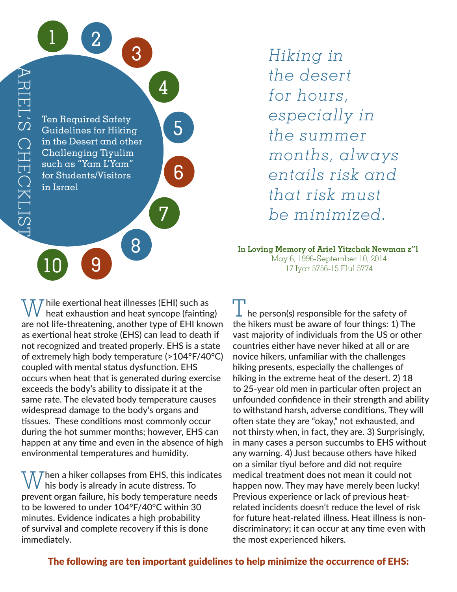

*Hiking in the desert for hours, especially in the summer months, always entails risk and that risk must be minimized.*

**In Loving Memory of Ariel Yitzchak Newman z"l** May 6, 1996-September 10, 2014 17 Iyar 5756-15 Elul 5774

 *hile exertional heat illnesses (EHI) such as* heat exhaustion and heat syncope (fainting) are not life-threatening, another type of EHI known as exertional heat stroke (EHS) can lead to death if not recognized and treated properly. EHS is a state of extremely high body temperature (>104°F/40°C) coupled with mental status dysfunction. EHS occurs when heat that is generated during exercise exceeds the body's ability to dissipate it at the same rate. The elevated body temperature causes widespread damage to the body's organs and tissues. These conditions most commonly occur during the hot summer months; however, EHS can happen at any time and even in the absence of high environmental temperatures and humidity.

 $\sqrt{\ }$  Then a hiker collapses from EHS, this indicates his body is already in acute distress. To prevent organ failure, his body temperature needs to be lowered to under 104°F/40°C within 30 minutes. Evidence indicates a high probability of survival and complete recovery if this is done immediately.

 $\perp$  he person(s) responsible for the safety of the hikers must be aware of four things: 1) The vast majority of individuals from the US or other countries either have never hiked at all or are novice hikers, unfamiliar with the challenges hiking presents, especially the challenges of hiking in the extreme heat of the desert. 2) 18 to 25-year old men in particular often project an unfounded confidence in their strength and ability to withstand harsh, adverse conditions. They will often state they are "okay," not exhausted, and not thirsty when, in fact, they are. 3) Surprisingly, in many cases a person succumbs to EHS without any warning. 4) Just because others have hiked on a similar tiyul before and did not require medical treatment does not mean it could not happen now. They may have merely been lucky! Previous experience or lack of previous heatrelated incidents doesn't reduce the level of risk for future heat-related illness. Heat illness is nondiscriminatory; it can occur at any time even with the most experienced hikers.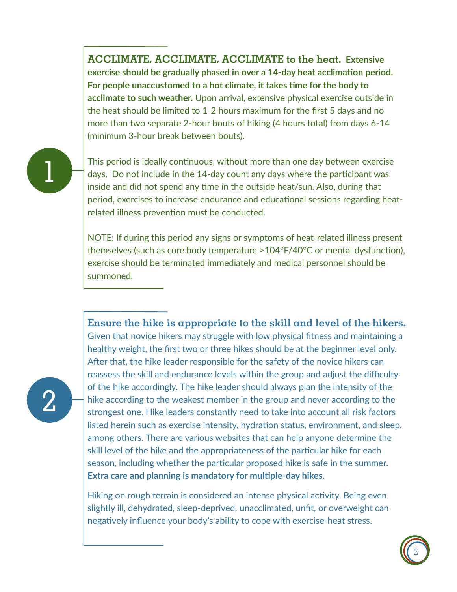**ACCLIMATE, ACCLIMATE, ACCLIMATE to the heat. Extensive exercise should be gradually phased in over a 14-day heat acclimation period. For people unaccustomed to a hot climate, it takes time for the body to acclimate to such weather.** Upon arrival, extensive physical exercise outside in the heat should be limited to 1-2 hours maximum for the first 5 days and no more than two separate 2-hour bouts of hiking (4 hours total) from days 6-14 (minimum 3-hour break between bouts).

# 1

2

This period is ideally continuous, without more than one day between exercise days. Do not include in the 14-day count any days where the participant was inside and did not spend any time in the outside heat/sun. Also, during that period, exercises to increase endurance and educational sessions regarding heatrelated illness prevention must be conducted.

NOTE: If during this period any signs or symptoms of heat-related illness present themselves (such as core body temperature >104°F/40°C or mental dysfunction), exercise should be terminated immediately and medical personnel should be summoned.

### **Ensure the hike is appropriate to the skill and level of the hikers.**  Given that novice hikers may struggle with low physical fitness and maintaining a

healthy weight, the first two or three hikes should be at the beginner level only. After that, the hike leader responsible for the safety of the novice hikers can reassess the skill and endurance levels within the group and adjust the difficulty of the hike accordingly. The hike leader should always plan the intensity of the hike according to the weakest member in the group and never according to the strongest one. Hike leaders constantly need to take into account all risk factors listed herein such as exercise intensity, hydration status, environment, and sleep, among others. There are various websites that can help anyone determine the skill level of the hike and the appropriateness of the particular hike for each season, including whether the particular proposed hike is safe in the summer. **Extra care and planning is mandatory for multiple-day hikes.** 

Hiking on rough terrain is considered an intense physical activity. Being even slightly ill, dehydrated, sleep-deprived, unacclimated, unfit, or overweight can negatively influence your body's ability to cope with exercise-heat stress.

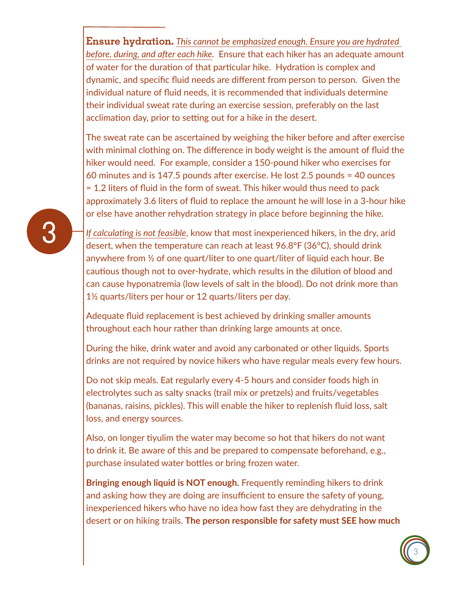**Ensure hydration.** *This cannot be emphasized enough. Ensure you are hydrated before, during, and after each hike.* Ensure that each hiker has an adequate amount of water for the duration of that particular hike. Hydration is complex and dynamic, and specific fluid needs are different from person to person. Given the individual nature of fluid needs, it is recommended that individuals determine their individual sweat rate during an exercise session, preferably on the last acclimation day, prior to setting out for a hike in the desert.

The sweat rate can be ascertained by weighing the hiker before and after exercise with minimal clothing on. The difference in body weight is the amount of fluid the hiker would need. For example, consider a 150-pound hiker who exercises for 60 minutes and is 147.5 pounds after exercise. He lost 2.5 pounds = 40 ounces = 1.2 liters of fluid in the form of sweat. This hiker would thus need to pack approximately 3.6 liters of fluid to replace the amount he will lose in a 3-hour hike or else have another rehydration strategy in place before beginning the hike.

*If calculating is not feasible*, know that most inexperienced hikers, in the dry, arid desert, when the temperature can reach at least 96.8°F (36°C), should drink anywhere from ½ of one quart/liter to one quart/liter of liquid each hour. Be cautious though not to over-hydrate, which results in the dilution of blood and can cause hyponatremia (low levels of salt in the blood). Do not drink more than 1½ quarts/liters per hour or 12 quarts/liters per day.

Adequate fluid replacement is best achieved by drinking smaller amounts throughout each hour rather than drinking large amounts at once.

During the hike, drink water and avoid any carbonated or other liquids. Sports drinks are not required by novice hikers who have regular meals every few hours.

Do not skip meals. Eat regularly every 4-5 hours and consider foods high in electrolytes such as salty snacks (trail mix or pretzels) and fruits/vegetables (bananas, raisins, pickles). This will enable the hiker to replenish fluid loss, salt loss, and energy sources.

Also, on longer tiyulim the water may become so hot that hikers do not want to drink it. Be aware of this and be prepared to compensate beforehand, e.g., purchase insulated water bottles or bring frozen water.

**Bringing enough liquid is NOT enough.** Frequently reminding hikers to drink and asking how they are doing are insufficient to ensure the safety of young, inexperienced hikers who have no idea how fast they are dehydrating in the desert or on hiking trails. **The person responsible for safety must SEE how much** 



3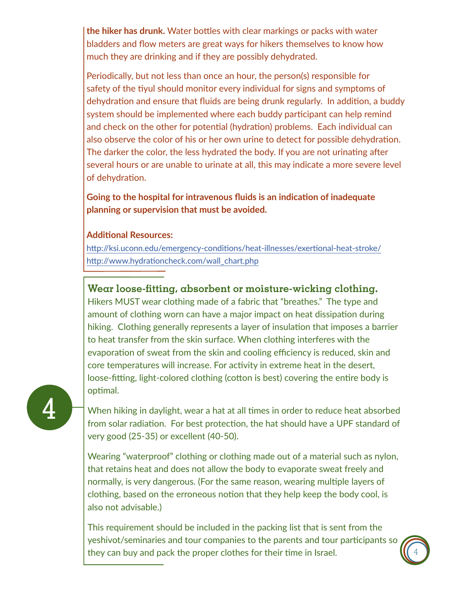**the hiker has drunk.** Water bottles with clear markings or packs with water bladders and flow meters are great ways for hikers themselves to know how much they are drinking and if they are possibly dehydrated.

Periodically, but not less than once an hour, the person(s) responsible for safety of the tiyul should monitor every individual for signs and symptoms of dehydration and ensure that fluids are being drunk regularly. In addition, a buddy system should be implemented where each buddy participant can help remind and check on the other for potential (hydration) problems. Each individual can also observe the color of his or her own urine to detect for possible dehydration. The darker the color, the less hydrated the body. If you are not urinating after several hours or are unable to urinate at all, this may indicate a more severe level of dehydration.

**Going to the hospital for intravenous fluids is an indication of inadequate planning or supervision that must be avoided.**

#### **Additional Resources:**

http://ksi.uconn.edu/emergency-conditions/heat-illnesses/exertional-heat-stroke/ http://www.hydrationcheck.com/wall\_chart.php

## **Wear loose-fitting, absorbent or moisture-wicking clothing.**

Hikers MUST wear clothing made of a fabric that "breathes." The type and amount of clothing worn can have a major impact on heat dissipation during hiking. Clothing generally represents a layer of insulation that imposes a barrier to heat transfer from the skin surface. When clothing interferes with the evaporation of sweat from the skin and cooling efficiency is reduced, skin and core temperatures will increase. For activity in extreme heat in the desert, loose-fitting, light-colored clothing (cotton is best) covering the entire body is optimal.

When hiking in daylight, wear a hat at all times in order to reduce heat absorbed from solar radiation. For best protection, the hat should have a UPF standard of very good (25-35) or excellent (40-50).

Wearing "waterproof" clothing or clothing made out of a material such as nylon, that retains heat and does not allow the body to evaporate sweat freely and normally, is very dangerous. (For the same reason, wearing multiple layers of clothing, based on the erroneous notion that they help keep the body cool, is also not advisable.)

This requirement should be included in the packing list that is sent from the yeshivot/seminaries and tour companies to the parents and tour participants so they can buy and pack the proper clothes for their time in Israel.

4

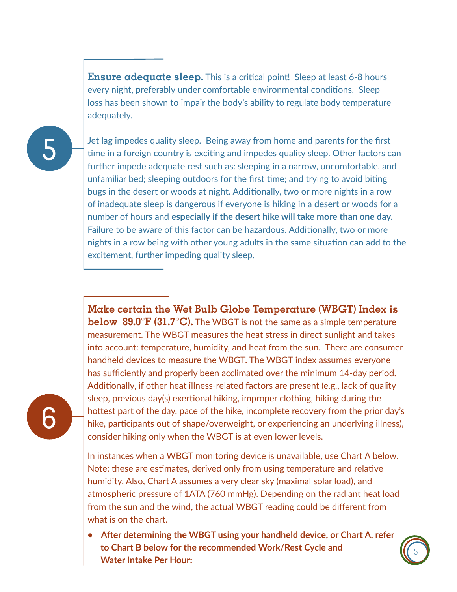**Ensure adequate sleep.** This is a critical point! Sleep at least 6-8 hours every night, preferably under comfortable environmental conditions. Sleep loss has been shown to impair the body's ability to regulate body temperature adequately.



Jet lag impedes quality sleep. Being away from home and parents for the first time in a foreign country is exciting and impedes quality sleep. Other factors can further impede adequate rest such as: sleeping in a narrow, uncomfortable, and unfamiliar bed; sleeping outdoors for the first time; and trying to avoid biting bugs in the desert or woods at night. Additionally, two or more nights in a row of inadequate sleep is dangerous if everyone is hiking in a desert or woods for a number of hours and **especially if the desert hike will take more than one day.** Failure to be aware of this factor can be hazardous. Additionally, two or more nights in a row being with other young adults in the same situation can add to the excitement, further impeding quality sleep.

**Make certain the Wet Bulb Globe Temperature (WBGT) Index is below 89.0°F (31.7°C).** The WBGT is not the same as a simple temperature measurement. The WBGT measures the heat stress in direct sunlight and takes into account: temperature, humidity, and heat from the sun. There are consumer handheld devices to measure the WBGT. The WBGT index assumes everyone has sufficiently and properly been acclimated over the minimum 14-day period. Additionally, if other heat illness-related factors are present (e.g., lack of quality sleep, previous day(s) exertional hiking, improper clothing, hiking during the hottest part of the day, pace of the hike, incomplete recovery from the prior day's hike, participants out of shape/overweight, or experiencing an underlying illness), consider hiking only when the WBGT is at even lower levels.

In instances when a WBGT monitoring device is unavailable, use Chart A below. Note: these are estimates, derived only from using temperature and relative humidity. Also, Chart A assumes a very clear sky (maximal solar load), and atmospheric pressure of 1ATA (760 mmHg). Depending on the radiant heat load from the sun and the wind, the actual WBGT reading could be different from what is on the chart.

**• After determining the WBGT using your handheld device, or Chart A, refer to Chart B below for the recommended Work/Rest Cycle and Water Intake Per Hour:**



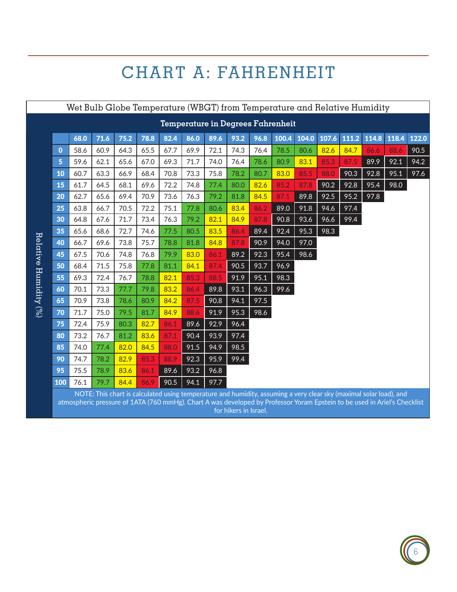## CHART A: FAHRENHEIT

| Wet Bulb Globe Temperature (WBGT) from Temperature and Relative Humidity |                                                                                                                                                                                                                                                 |      |      |      |      |              |      |      |      |      |      |      |      |      |      |      |
|--------------------------------------------------------------------------|-------------------------------------------------------------------------------------------------------------------------------------------------------------------------------------------------------------------------------------------------|------|------|------|------|--------------|------|------|------|------|------|------|------|------|------|------|
| Temperature in Degrees Fahrenheit                                        |                                                                                                                                                                                                                                                 |      |      |      |      |              |      |      |      |      |      |      |      |      |      |      |
|                                                                          | 111.2<br>71.6<br>75.2<br>78.8<br>104.0<br>114.8<br>118.4<br>68.0<br>82.4<br>86.0<br>89.6<br>93.2<br>96.8<br>100.4<br>107.6<br>122.0                                                                                                             |      |      |      |      |              |      |      |      |      |      |      |      |      |      |      |
| $\mathbf 0$                                                              | 58.6                                                                                                                                                                                                                                            | 60.9 | 64.3 | 65.5 | 67.7 | 69.9         | 72.1 | 74.3 | 76.4 | 78.5 | 80.6 | 82.6 | 84.7 | 86.6 | 88.6 | 90.5 |
| 5                                                                        | 59.6                                                                                                                                                                                                                                            | 62.1 | 65.6 | 67.0 | 69.3 | 71.7         | 74.0 | 76.4 | 78.6 | 80.9 | 83.1 | 85.3 | 87.5 | 89.9 | 92.1 | 94.2 |
| 10                                                                       | 60.7                                                                                                                                                                                                                                            | 63.3 | 66.9 | 68.4 | 70.8 | 73.3         | 75.8 | 78.2 | 80.7 | 83.0 | 85.5 | 88.0 | 90.3 | 92.8 | 95.1 | 97.6 |
| 15                                                                       | 61.7                                                                                                                                                                                                                                            | 64.5 | 68.1 | 69.6 | 72.2 | 74.8         | 77.4 | 80.0 | 82.6 | 85.2 | 87.8 | 90.2 | 92.8 | 95.4 | 98.0 |      |
| 20                                                                       | 62.7                                                                                                                                                                                                                                            | 65.6 | 69.4 | 70.9 | 73.6 | 76.3         | 79.2 | 81.8 | 84.5 | 87.1 | 89.8 | 92.5 | 95.2 | 97.8 |      |      |
| 25                                                                       | 63.8                                                                                                                                                                                                                                            | 66.7 | 70.5 | 72.2 | 75.1 | 77.8         | 80.6 | 83.4 | 86.2 | 89.0 | 91.8 | 94.6 | 97.4 |      |      |      |
| 30                                                                       | 64.8                                                                                                                                                                                                                                            | 67.6 | 71.7 | 73.4 | 76.3 | 79.2         | 82.1 | 84.9 | 87.8 | 90.8 | 93.6 | 96.6 | 99.4 |      |      |      |
| 35                                                                       | 65.6                                                                                                                                                                                                                                            | 68.6 | 72.7 | 74.6 | 77.5 | 80.5         | 83.5 | 86.4 | 89.4 | 92.4 | 95.3 | 98.3 |      |      |      |      |
| 40                                                                       | 66.7                                                                                                                                                                                                                                            | 69.6 | 73.8 | 75.7 | 78.8 | 81.8         | 84.8 | 87.8 | 90.9 | 94.0 | 97.0 |      |      |      |      |      |
| 45                                                                       | 67.5                                                                                                                                                                                                                                            | 70.6 | 74.8 | 76.8 | 79.9 | 83.0         | 86.1 | 89.2 | 92.3 | 95.4 | 98.6 |      |      |      |      |      |
| 50                                                                       | 68.4                                                                                                                                                                                                                                            | 71.5 | 75.8 | 77.8 | 81.1 | 84.1         | 87.4 | 90.5 | 93.7 | 96.9 |      |      |      |      |      |      |
| 55                                                                       | 69.3                                                                                                                                                                                                                                            | 72.4 | 76.7 | 78.8 | 82.1 | 85.3         | 88.5 | 91.9 | 95.1 | 98.3 |      |      |      |      |      |      |
| 60                                                                       | 70.1                                                                                                                                                                                                                                            | 73.3 | 77.7 | 79.8 | 83.2 | 86.4         | 89.8 | 93.1 | 96.3 | 99.6 |      |      |      |      |      |      |
| 65                                                                       | 70.9                                                                                                                                                                                                                                            | 73.8 | 78.6 | 80.9 | 84.2 | 87.5         | 90.8 | 94.1 | 97.5 |      |      |      |      |      |      |      |
| 70                                                                       | 71.7                                                                                                                                                                                                                                            | 75.0 | 79.5 | 81.7 | 84.9 | 88.6         | 91.9 | 95.3 | 98.6 |      |      |      |      |      |      |      |
| 75                                                                       | 72.4                                                                                                                                                                                                                                            | 75.9 | 80.3 | 82.7 | 86.1 |              | 92.9 | 96.4 |      |      |      |      |      |      |      |      |
| 80                                                                       | 73.2                                                                                                                                                                                                                                            | 76.7 | 81.2 | 83.6 | 87.1 | 89.6<br>90.4 | 93.9 | 97.4 |      |      |      |      |      |      |      |      |
|                                                                          |                                                                                                                                                                                                                                                 |      | 82.0 | 84.5 |      |              |      |      |      |      |      |      |      |      |      |      |
| 85                                                                       | 74.0                                                                                                                                                                                                                                            | 77.4 |      |      | 88.0 | 91.5         | 94.9 | 98.5 |      |      |      |      |      |      |      |      |
| 90                                                                       | 74.7                                                                                                                                                                                                                                            | 78.2 | 82.9 | 85.3 | 88.9 | 92.3         | 95.9 | 99.4 |      |      |      |      |      |      |      |      |
| 95                                                                       | 75.5                                                                                                                                                                                                                                            | 78.9 | 83.6 | 86.1 | 89.6 | 93.2         | 96.8 |      |      |      |      |      |      |      |      |      |
| 100                                                                      | 76.1                                                                                                                                                                                                                                            | 79.7 | 84.4 | 86.9 | 90.5 | 94.1         | 97.7 |      |      |      |      |      |      |      |      |      |
|                                                                          | NOTE: This chart is calculated using temperature and humidity, assuming a very clear sky (maximal solar load), and<br>atmospheric pressure of 1ATA (760 mmHg). Chart A was developed by Professor Yoram Epstein to be used in Ariel's Checklist |      |      |      |      |              |      |      |      |      |      |      |      |      |      |      |

for hikers in Israel.

-

-

 - --  -- -

 $\overline{\phantom{a}}$ 



-

 -- -

-

-

 - --

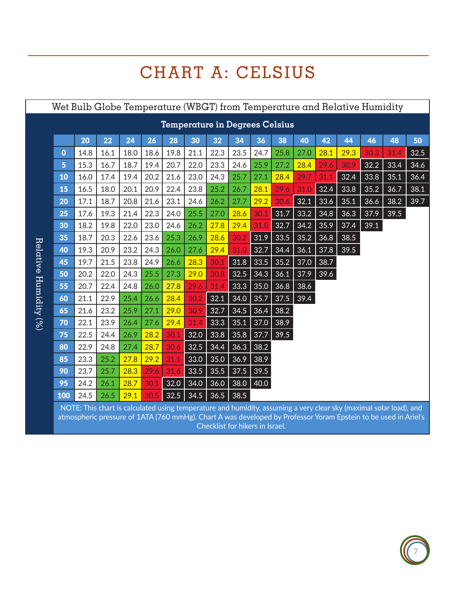# CHART A: CELSIUS

| Wet Bulb Globe Temperature (WBGT) from Temperature and Relative Humidity |                                                                                                                                                                                                                                       |      |      |      |      |      |      |      |      |      |      |      |      |      |      |      |      |
|--------------------------------------------------------------------------|---------------------------------------------------------------------------------------------------------------------------------------------------------------------------------------------------------------------------------------|------|------|------|------|------|------|------|------|------|------|------|------|------|------|------|------|
| <b>Temperature in Degrees Celsius</b>                                    |                                                                                                                                                                                                                                       |      |      |      |      |      |      |      |      |      |      |      |      |      |      |      |      |
|                                                                          |                                                                                                                                                                                                                                       | 20   | 22   | 24   | 26   | 28   | 30   | 32   | 34   | 36   | 38   | 40   | 42   | 44   | 46   | 48   | 50   |
|                                                                          | $\mathbf 0$                                                                                                                                                                                                                           | 14.8 | 16.1 | 18.0 | 18.6 | 19.8 | 21.1 | 22.3 | 23.5 | 24.7 | 25.8 | 27.0 | 28.1 | 29.3 | 30.3 | 31.4 | 32.5 |
|                                                                          | 5                                                                                                                                                                                                                                     | 15.3 | 16.7 | 18.7 | 19.4 | 20.7 | 22.0 | 23.3 | 24.6 | 25.9 | 27.2 | 28.4 | 29.6 | 30.9 | 32.2 | 33.4 | 34.6 |
|                                                                          | 10                                                                                                                                                                                                                                    | 16.0 | 17.4 | 19.4 | 20.2 | 21.6 | 23.0 | 24.3 | 25.7 | 27.1 | 28.4 | 29.7 | 31.1 | 32.4 | 33.8 | 35.1 | 36.4 |
|                                                                          | 15                                                                                                                                                                                                                                    | 16.5 | 18.0 | 20.1 | 20.9 | 22.4 | 23.8 | 25.2 | 26.7 | 28.1 | 29.6 | 31.0 | 32.4 | 33.8 | 35.2 | 36.7 | 38.1 |
|                                                                          | 20                                                                                                                                                                                                                                    | 17.1 | 18.7 | 20.8 | 21.6 | 23.1 | 24.6 | 26.2 | 27.7 | 29.2 | 30.6 | 32.1 | 33.6 | 35.1 | 36.6 | 38.2 | 39.7 |
|                                                                          | 25                                                                                                                                                                                                                                    | 17.6 | 19.3 | 21.4 | 22.3 | 24.0 | 25.5 | 27.0 | 28.6 | 30.1 | 31.7 | 33.2 | 34.8 | 36.3 | 37.9 | 39.5 |      |
|                                                                          | 30                                                                                                                                                                                                                                    | 18.2 | 19.8 | 22.0 | 23.0 | 24.6 | 26.2 | 27.8 | 29.4 | 31.0 | 32.7 | 34.2 | 35.9 | 37.4 | 39.1 |      |      |
|                                                                          | 35                                                                                                                                                                                                                                    | 18.7 | 20.3 | 22.6 | 23.6 | 25.3 | 26.9 | 28.6 | 30.2 | 31.9 | 33.5 | 35.2 | 36.8 | 38.5 |      |      |      |
|                                                                          | 40                                                                                                                                                                                                                                    | 19.3 | 20.9 | 23.2 | 24.3 | 26.0 | 27.6 | 29.4 | 31.0 | 32.7 | 34.4 | 36.1 | 37.8 | 39.5 |      |      |      |
|                                                                          | 45                                                                                                                                                                                                                                    | 19.7 | 21.5 | 23.8 | 24.9 | 26.6 | 28.3 | 30.1 | 31.8 | 33.5 | 35.2 | 37.0 | 38.7 |      |      |      |      |
|                                                                          | 50                                                                                                                                                                                                                                    | 20.2 | 22.0 | 24.3 | 25.5 | 27.3 | 29.0 | 30.8 | 32.5 | 34.3 | 36.1 | 37.9 | 39.6 |      |      |      |      |
|                                                                          | 55                                                                                                                                                                                                                                    | 20.7 | 22.4 | 24.8 | 26.0 | 27.8 | 29.6 | 31.4 | 33.3 | 35.0 | 36.8 | 38.6 |      |      |      |      |      |
|                                                                          | 60                                                                                                                                                                                                                                    | 21.1 | 22.9 | 25.4 | 26.6 | 28.4 | 30.2 | 32.1 | 34.0 | 35.7 | 37.5 | 39.4 |      |      |      |      |      |
|                                                                          | 65                                                                                                                                                                                                                                    | 21.6 | 23.2 | 25.9 | 27.1 | 29.0 | 30.9 | 32.7 | 34.5 | 36.4 | 38.2 |      |      |      |      |      |      |
|                                                                          | 70                                                                                                                                                                                                                                    | 22.1 | 23.9 | 26.4 | 27.6 | 29.4 | 31.4 | 33.3 | 35.1 | 37.0 | 38.9 |      |      |      |      |      |      |
|                                                                          | 75                                                                                                                                                                                                                                    | 22.5 | 24.4 | 26.9 | 28.2 | 30.1 | 32.0 | 33.8 | 35.8 | 37.7 | 39.5 |      |      |      |      |      |      |
|                                                                          | 80                                                                                                                                                                                                                                    | 22.9 | 24.8 | 27.4 | 28.7 | 30.6 | 32.5 | 34.4 | 36.3 | 38.2 |      |      |      |      |      |      |      |
|                                                                          | 85                                                                                                                                                                                                                                    | 23.3 | 25.2 | 27.8 | 29.2 | 31.1 | 33.0 | 35.0 | 36.9 | 38.9 |      |      |      |      |      |      |      |
|                                                                          | 90                                                                                                                                                                                                                                    | 23.7 | 25.7 | 28.3 | 29.6 | 31.6 | 33.5 | 35.5 | 37.5 | 39.5 |      |      |      |      |      |      |      |
|                                                                          | 95                                                                                                                                                                                                                                    | 24.2 | 26.1 | 28.7 | 30.1 | 32.0 | 34.0 | 36.0 | 38.0 | 40.0 |      |      |      |      |      |      |      |
|                                                                          | 100                                                                                                                                                                                                                                   | 24.5 | 26.5 | 29.1 | 30.5 | 32.5 | 34.5 | 36.5 | 38.5 |      |      |      |      |      |      |      |      |
|                                                                          | NOTE: This chart is calculated using temperature and humidity, assuming a very clear sky (maximal solar load), and<br>atmospheric pressure of 1ATA (760 mmHg). Chart A was developed by Professor Yoram Epstein to be used in Ariel's |      |      |      |      |      |      |      |      |      |      |      |      |      |      |      |      |

ر<br>.Checklist for hikers in Israel

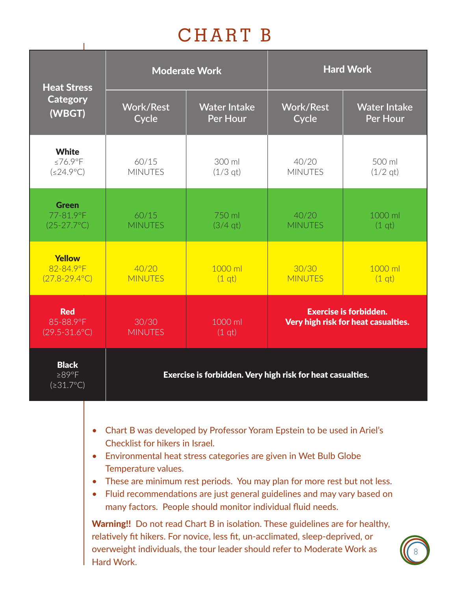## CHART B

| <b>Heat Stress</b>                                  |                           | <b>Moderate Work</b>                                       | <b>Hard Work</b>                                                     |                                 |  |  |  |
|-----------------------------------------------------|---------------------------|------------------------------------------------------------|----------------------------------------------------------------------|---------------------------------|--|--|--|
| <b>Category</b><br>(WBGT)                           | <b>Work/Rest</b><br>Cycle | <b>Water Intake</b><br>Per Hour                            | <b>Work/Rest</b><br>Cycle                                            | <b>Water Intake</b><br>Per Hour |  |  |  |
| <b>White</b><br>≤76.9°F<br>$(\leq 24.9^{\circ}C)$   | 60/15<br><b>MINUTES</b>   | 300 ml<br>$(1/3$ qt)                                       | 40/20<br><b>MINUTES</b>                                              | 500 ml<br>$(1/2$ qt)            |  |  |  |
| <b>Green</b><br>77-81.9°F<br>$(25-27.7^{\circ}C)$   | 60/15<br><b>MINUTES</b>   | 750 ml<br>$(3/4$ qt)                                       | 40/20<br><b>MINUTES</b>                                              | 1000 ml<br>(1 <sub>qt</sub> )   |  |  |  |
| <b>Yellow</b><br>82-84.9°F<br>$(27.8 - 29.4$ °C)    | 40/20<br><b>MINUTES</b>   | 1000 ml<br>(1 <sub>qt</sub> )                              | 30/30<br><b>MINUTES</b>                                              | 1000 ml<br>(1 <sub>qt</sub> )   |  |  |  |
| <b>Red</b><br>85-88.9°F<br>$(29.5 - 31.6^{\circ}C)$ | 30/30<br><b>MINUTES</b>   | 1000 ml<br>(1 <sub>qt</sub> )                              | <b>Exercise is forbidden.</b><br>Very high risk for heat casualties. |                                 |  |  |  |
| <b>Black</b><br>$\geq$ 89°F<br>$(231.7^{\circ}C)$   |                           | Exercise is forbidden. Very high risk for heat casualties. |                                                                      |                                 |  |  |  |

- Chart B was developed by Professor Yoram Epstein to be used in Ariel's Checklist for hikers in Israel.
- Environmental heat stress categories are given in Wet Bulb Globe Temperature values.
- These are minimum rest periods. You may plan for more rest but not less.
- Fluid recommendations are just general guidelines and may vary based on many factors. People should monitor individual fluid needs.

Warning!! Do not read Chart B in isolation. These guidelines are for healthy, relatively fit hikers. For novice, less fit, un-acclimated, sleep-deprived, or overweight individuals, the tour leader should refer to Moderate Work as Hard Work.

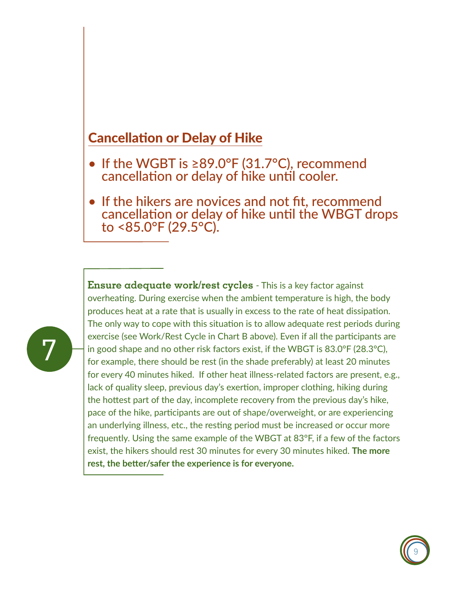## Cancellation or Delay of Hike

- If the WGBT is ≥89.0°F (31.7°C), recommend cancellation or delay of hike until cooler.
- If the hikers are novices and not fit, recommend cancellation or delay of hike until the WBGT drops to <85.0°F (29.5°C).



**Ensure adequate work/rest cycles** - This is a key factor against overheating. During exercise when the ambient temperature is high, the body produces heat at a rate that is usually in excess to the rate of heat dissipation. The only way to cope with this situation is to allow adequate rest periods during exercise (see Work/Rest Cycle in Chart B above). Even if all the participants are in good shape and no other risk factors exist, if the WBGT is 83.0°F (28.3°C), for example, there should be rest (in the shade preferably) at least 20 minutes for every 40 minutes hiked. If other heat illness-related factors are present, e.g., lack of quality sleep, previous day's exertion, improper clothing, hiking during the hottest part of the day, incomplete recovery from the previous day's hike, pace of the hike, participants are out of shape/overweight, or are experiencing an underlying illness, etc., the resting period must be increased or occur more frequently. Using the same example of the WBGT at 83°F, if a few of the factors exist, the hikers should rest 30 minutes for every 30 minutes hiked. **The more rest, the better/safer the experience is for everyone.**

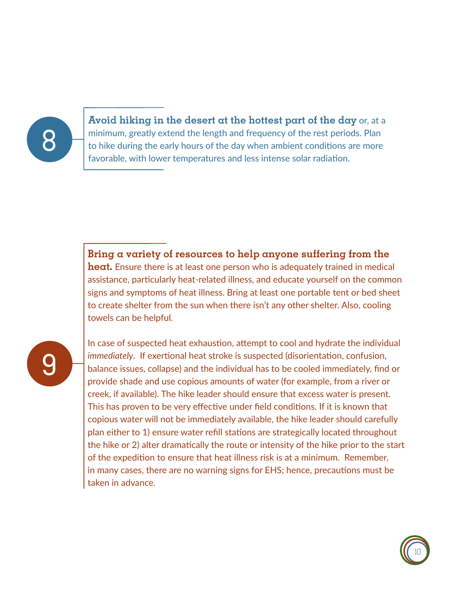

**Avoid hiking in the desert at the hottest part of the day** or, at a minimum, greatly extend the length and frequency of the rest periods. Plan to hike during the early hours of the day when ambient conditions are more favorable, with lower temperatures and less intense solar radiation.

**Bring a variety of resources to help anyone suffering from the heat.** Ensure there is at least one person who is adequately trained in medical assistance, particularly heat-related illness, and educate yourself on the common signs and symptoms of heat illness. Bring at least one portable tent or bed sheet to create shelter from the sun when there isn't any other shelter. Also, cooling towels can be helpful.

9

In case of suspected heat exhaustion, attempt to cool and hydrate the individual *immediately*. If exertional heat stroke is suspected (disorientation, confusion, balance issues, collapse) and the individual has to be cooled immediately, find or provide shade and use copious amounts of water (for example, from a river or creek, if available). The hike leader should ensure that excess water is present. This has proven to be very effective under field conditions. If it is known that copious water will not be immediately available, the hike leader should carefully plan either to 1) ensure water refill stations are strategically located throughout the hike or 2) alter dramatically the route or intensity of the hike prior to the start of the expedition to ensure that heat illness risk is at a minimum. Remember, in many cases, there are no warning signs for EHS; hence, precautions must be taken in advance.